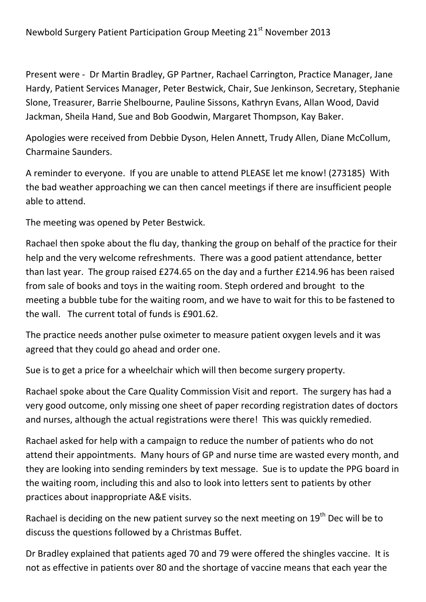Present were - Dr Martin Bradley, GP Partner, Rachael Carrington, Practice Manager, Jane Hardy, Patient Services Manager, Peter Bestwick, Chair, Sue Jenkinson, Secretary, Stephanie Slone, Treasurer, Barrie Shelbourne, Pauline Sissons, Kathryn Evans, Allan Wood, David Jackman, Sheila Hand, Sue and Bob Goodwin, Margaret Thompson, Kay Baker.

Apologies were received from Debbie Dyson, Helen Annett, Trudy Allen, Diane McCollum, Charmaine Saunders.

A reminder to everyone. If you are unable to attend PLEASE let me know! (273185) With the bad weather approaching we can then cancel meetings if there are insufficient people able to attend.

The meeting was opened by Peter Bestwick.

Rachael then spoke about the flu day, thanking the group on behalf of the practice for their help and the very welcome refreshments. There was a good patient attendance, better than last year. The group raised £274.65 on the day and a further £214.96 has been raised from sale of books and toys in the waiting room. Steph ordered and brought to the meeting a bubble tube for the waiting room, and we have to wait for this to be fastened to the wall. The current total of funds is £901.62.

The practice needs another pulse oximeter to measure patient oxygen levels and it was agreed that they could go ahead and order one.

Sue is to get a price for a wheelchair which will then become surgery property.

Rachael spoke about the Care Quality Commission Visit and report. The surgery has had a very good outcome, only missing one sheet of paper recording registration dates of doctors and nurses, although the actual registrations were there! This was quickly remedied.

Rachael asked for help with a campaign to reduce the number of patients who do not attend their appointments. Many hours of GP and nurse time are wasted every month, and they are looking into sending reminders by text message. Sue is to update the PPG board in the waiting room, including this and also to look into letters sent to patients by other practices about inappropriate A&E visits.

Rachael is deciding on the new patient survey so the next meeting on 19<sup>th</sup> Dec will be to discuss the questions followed by a Christmas Buffet.

Dr Bradley explained that patients aged 70 and 79 were offered the shingles vaccine. It is not as effective in patients over 80 and the shortage of vaccine means that each year the